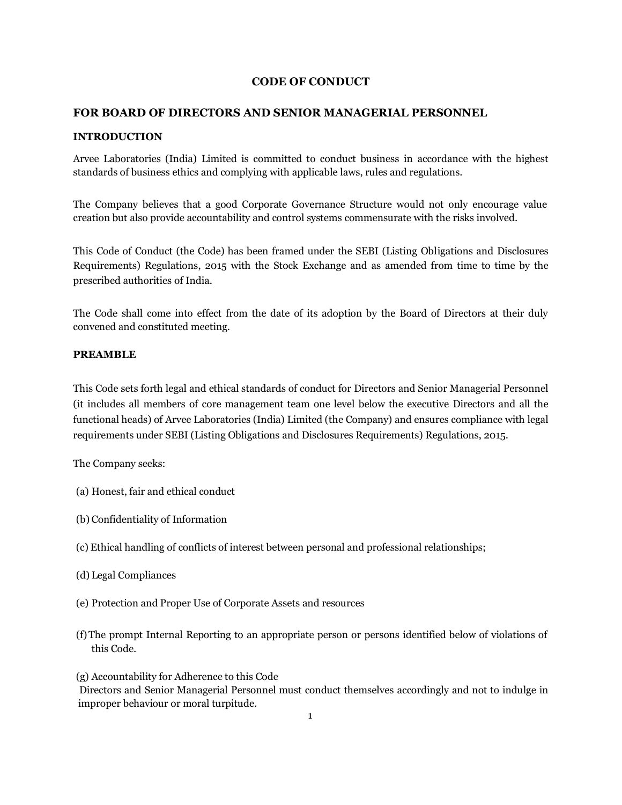## **CODE OF CONDUCT**

## **FOR BOARD OF DIRECTORS AND SENIOR MANAGERIAL PERSONNEL**

### **INTRODUCTION**

Arvee Laboratories (India) Limited is committed to conduct business in accordance with the highest standards of business ethics and complying with applicable laws, rules and regulations.

The Company believes that a good Corporate Governance Structure would not only encourage value creation but also provide accountability and control systems commensurate with the risks involved.

This Code of Conduct (the Code) has been framed under the SEBI (Listing Obligations and Disclosures Requirements) Regulations, 2015 with the Stock Exchange and as amended from time to time by the prescribed authorities of India.

The Code shall come into effect from the date of its adoption by the Board of Directors at their duly convened and constituted meeting.

## **PREAMBLE**

This Code sets forth legal and ethical standards of conduct for Directors and Senior Managerial Personnel (it includes all members of core management team one level below the executive Directors and all the functional heads) of Arvee Laboratories (India) Limited (the Company) and ensures compliance with legal requirements under SEBI (Listing Obligations and Disclosures Requirements) Regulations, 2015.

The Company seeks:

- (a) Honest, fair and ethical conduct
- (b) Confidentiality of Information
- (c) Ethical handling of conflicts of interest between personal and professional relationships;
- (d) Legal Compliances
- (e) Protection and Proper Use of Corporate Assets and resources
- (f)The prompt Internal Reporting to an appropriate person or persons identified below of violations of this Code.

(g) Accountability for Adherence to this Code Directors and Senior Managerial Personnel must conduct themselves accordingly and not to indulge in improper behaviour or moral turpitude.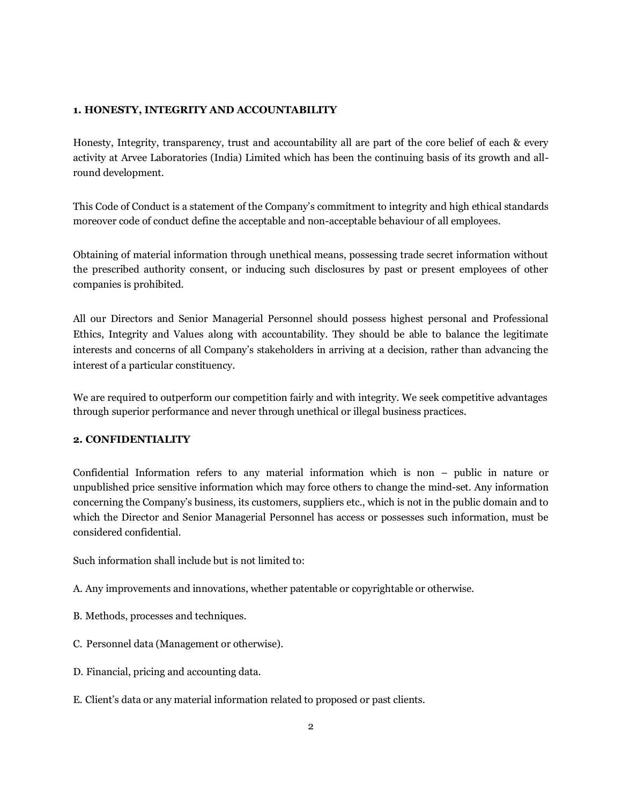## **1. HONESTY, INTEGRITY AND ACCOUNTABILITY**

Honesty, Integrity, transparency, trust and accountability all are part of the core belief of each & every activity at Arvee Laboratories (India) Limited which has been the continuing basis of its growth and allround development.

This Code of Conduct is a statement of the Company's commitment to integrity and high ethical standards moreover code of conduct define the acceptable and non-acceptable behaviour of all employees.

Obtaining of material information through unethical means, possessing trade secret information without the prescribed authority consent, or inducing such disclosures by past or present employees of other companies is prohibited.

All our Directors and Senior Managerial Personnel should possess highest personal and Professional Ethics, Integrity and Values along with accountability. They should be able to balance the legitimate interests and concerns of all Company's stakeholders in arriving at a decision, rather than advancing the interest of a particular constituency.

We are required to outperform our competition fairly and with integrity. We seek competitive advantages through superior performance and never through unethical or illegal business practices.

## **2. CONFIDENTIALITY**

Confidential Information refers to any material information which is non – public in nature or unpublished price sensitive information which may force others to change the mind-set. Any information concerning the Company's business, its customers, suppliers etc., which is not in the public domain and to which the Director and Senior Managerial Personnel has access or possesses such information, must be considered confidential.

Such information shall include but is not limited to:

- A. Any improvements and innovations, whether patentable or copyrightable or otherwise.
- B. Methods, processes and techniques.
- C. Personnel data (Management or otherwise).
- D. Financial, pricing and accounting data.
- E. Client's data or any material information related to proposed or past clients.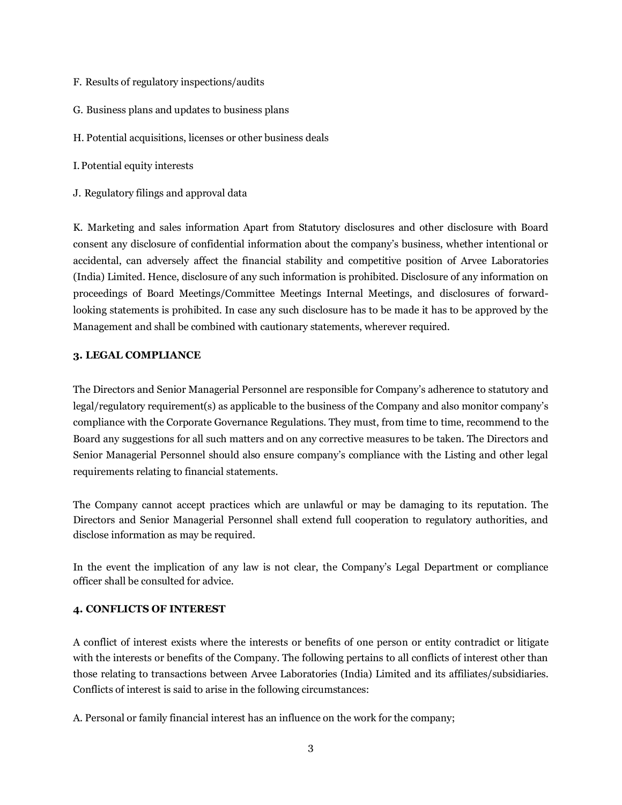- F. Results of regulatory inspections/audits
- G. Business plans and updates to business plans
- H. Potential acquisitions, licenses or other business deals
- I.Potential equity interests
- J. Regulatory filings and approval data

K. Marketing and sales information Apart from Statutory disclosures and other disclosure with Board consent any disclosure of confidential information about the company's business, whether intentional or accidental, can adversely affect the financial stability and competitive position of Arvee Laboratories (India) Limited. Hence, disclosure of any such information is prohibited. Disclosure of any information on proceedings of Board Meetings/Committee Meetings Internal Meetings, and disclosures of forwardlooking statements is prohibited. In case any such disclosure has to be made it has to be approved by the Management and shall be combined with cautionary statements, wherever required.

### **3. LEGAL COMPLIANCE**

The Directors and Senior Managerial Personnel are responsible for Company's adherence to statutory and legal/regulatory requirement(s) as applicable to the business of the Company and also monitor company's compliance with the Corporate Governance Regulations. They must, from time to time, recommend to the Board any suggestions for all such matters and on any corrective measures to be taken. The Directors and Senior Managerial Personnel should also ensure company's compliance with the Listing and other legal requirements relating to financial statements.

The Company cannot accept practices which are unlawful or may be damaging to its reputation. The Directors and Senior Managerial Personnel shall extend full cooperation to regulatory authorities, and disclose information as may be required.

In the event the implication of any law is not clear, the Company's Legal Department or compliance officer shall be consulted for advice.

### **4. CONFLICTS OF INTEREST**

A conflict of interest exists where the interests or benefits of one person or entity contradict or litigate with the interests or benefits of the Company. The following pertains to all conflicts of interest other than those relating to transactions between Arvee Laboratories (India) Limited and its affiliates/subsidiaries. Conflicts of interest is said to arise in the following circumstances:

A. Personal or family financial interest has an influence on the work for the company;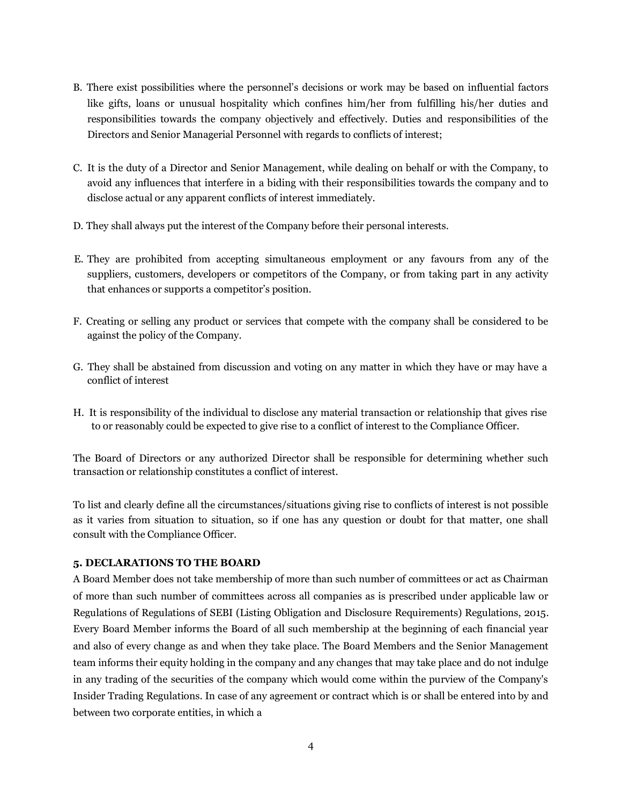- B. There exist possibilities where the personnel's decisions or work may be based on influential factors like gifts, loans or unusual hospitality which confines him/her from fulfilling his/her duties and responsibilities towards the company objectively and effectively. Duties and responsibilities of the Directors and Senior Managerial Personnel with regards to conflicts of interest;
- C. It is the duty of a Director and Senior Management, while dealing on behalf or with the Company, to avoid any influences that interfere in a biding with their responsibilities towards the company and to disclose actual or any apparent conflicts of interest immediately.
- D. They shall always put the interest of the Company before their personal interests.
- E. They are prohibited from accepting simultaneous employment or any favours from any of the suppliers, customers, developers or competitors of the Company, or from taking part in any activity that enhances or supports a competitor's position.
- F. Creating or selling any product or services that compete with the company shall be considered to be against the policy of the Company.
- G. They shall be abstained from discussion and voting on any matter in which they have or may have a conflict of interest
- H. It is responsibility of the individual to disclose any material transaction or relationship that gives rise to or reasonably could be expected to give rise to a conflict of interest to the Compliance Officer.

The Board of Directors or any authorized Director shall be responsible for determining whether such transaction or relationship constitutes a conflict of interest.

To list and clearly define all the circumstances/situations giving rise to conflicts of interest is not possible as it varies from situation to situation, so if one has any question or doubt for that matter, one shall consult with the Compliance Officer.

### **5. DECLARATIONS TO THE BOARD**

A Board Member does not take membership of more than such number of committees or act as Chairman of more than such number of committees across all companies as is prescribed under applicable law or Regulations of Regulations of SEBI (Listing Obligation and Disclosure Requirements) Regulations, 2015. Every Board Member informs the Board of all such membership at the beginning of each financial year and also of every change as and when they take place. The Board Members and the Senior Management team informs their equity holding in the company and any changes that may take place and do not indulge in any trading of the securities of the company which would come within the purview of the Company's Insider Trading Regulations. In case of any agreement or contract which is or shall be entered into by and between two corporate entities, in which a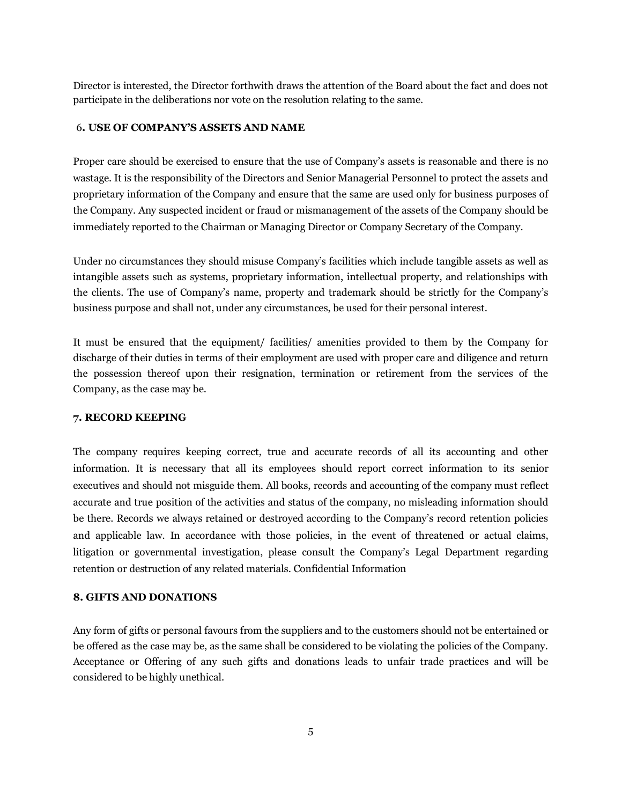Director is interested, the Director forthwith draws the attention of the Board about the fact and does not participate in the deliberations nor vote on the resolution relating to the same.

### 6**. USE OF COMPANY'S ASSETS AND NAME**

Proper care should be exercised to ensure that the use of Company's assets is reasonable and there is no wastage. It is the responsibility of the Directors and Senior Managerial Personnel to protect the assets and proprietary information of the Company and ensure that the same are used only for business purposes of the Company. Any suspected incident or fraud or mismanagement of the assets of the Company should be immediately reported to the Chairman or Managing Director or Company Secretary of the Company.

Under no circumstances they should misuse Company's facilities which include tangible assets as well as intangible assets such as systems, proprietary information, intellectual property, and relationships with the clients. The use of Company's name, property and trademark should be strictly for the Company's business purpose and shall not, under any circumstances, be used for their personal interest.

It must be ensured that the equipment/ facilities/ amenities provided to them by the Company for discharge of their duties in terms of their employment are used with proper care and diligence and return the possession thereof upon their resignation, termination or retirement from the services of the Company, as the case may be.

### **7. RECORD KEEPING**

The company requires keeping correct, true and accurate records of all its accounting and other information. It is necessary that all its employees should report correct information to its senior executives and should not misguide them. All books, records and accounting of the company must reflect accurate and true position of the activities and status of the company, no misleading information should be there. Records we always retained or destroyed according to the Company's record retention policies and applicable law. In accordance with those policies, in the event of threatened or actual claims, litigation or governmental investigation, please consult the Company's Legal Department regarding retention or destruction of any related materials. Confidential Information

### **8. GIFTS AND DONATIONS**

Any form of gifts or personal favours from the suppliers and to the customers should not be entertained or be offered as the case may be, as the same shall be considered to be violating the policies of the Company. Acceptance or Offering of any such gifts and donations leads to unfair trade practices and will be considered to be highly unethical.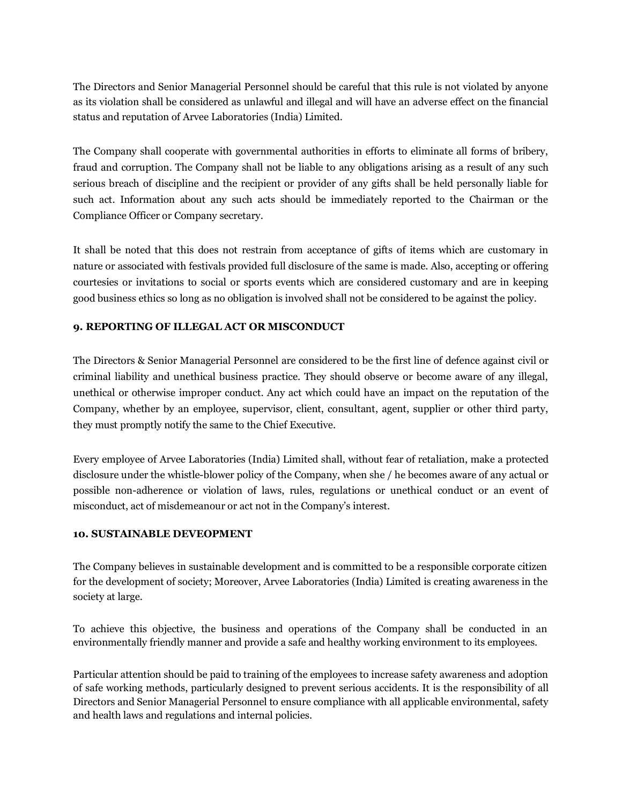The Directors and Senior Managerial Personnel should be careful that this rule is not violated by anyone as its violation shall be considered as unlawful and illegal and will have an adverse effect on the financial status and reputation of Arvee Laboratories (India) Limited.

The Company shall cooperate with governmental authorities in efforts to eliminate all forms of bribery, fraud and corruption. The Company shall not be liable to any obligations arising as a result of any such serious breach of discipline and the recipient or provider of any gifts shall be held personally liable for such act. Information about any such acts should be immediately reported to the Chairman or the Compliance Officer or Company secretary.

It shall be noted that this does not restrain from acceptance of gifts of items which are customary in nature or associated with festivals provided full disclosure of the same is made. Also, accepting or offering courtesies or invitations to social or sports events which are considered customary and are in keeping good business ethics so long as no obligation is involved shall not be considered to be against the policy.

# **9. REPORTING OF ILLEGAL ACT OR MISCONDUCT**

The Directors & Senior Managerial Personnel are considered to be the first line of defence against civil or criminal liability and unethical business practice. They should observe or become aware of any illegal, unethical or otherwise improper conduct. Any act which could have an impact on the reputation of the Company, whether by an employee, supervisor, client, consultant, agent, supplier or other third party, they must promptly notify the same to the Chief Executive.

Every employee of Arvee Laboratories (India) Limited shall, without fear of retaliation, make a protected disclosure under the whistle-blower policy of the Company, when she / he becomes aware of any actual or possible non-adherence or violation of laws, rules, regulations or unethical conduct or an event of misconduct, act of misdemeanour or act not in the Company's interest.

## **10. SUSTAINABLE DEVEOPMENT**

The Company believes in sustainable development and is committed to be a responsible corporate citizen for the development of society; Moreover, Arvee Laboratories (India) Limited is creating awareness in the society at large.

To achieve this objective, the business and operations of the Company shall be conducted in an environmentally friendly manner and provide a safe and healthy working environment to its employees.

Particular attention should be paid to training of the employees to increase safety awareness and adoption of safe working methods, particularly designed to prevent serious accidents. It is the responsibility of all Directors and Senior Managerial Personnel to ensure compliance with all applicable environmental, safety and health laws and regulations and internal policies.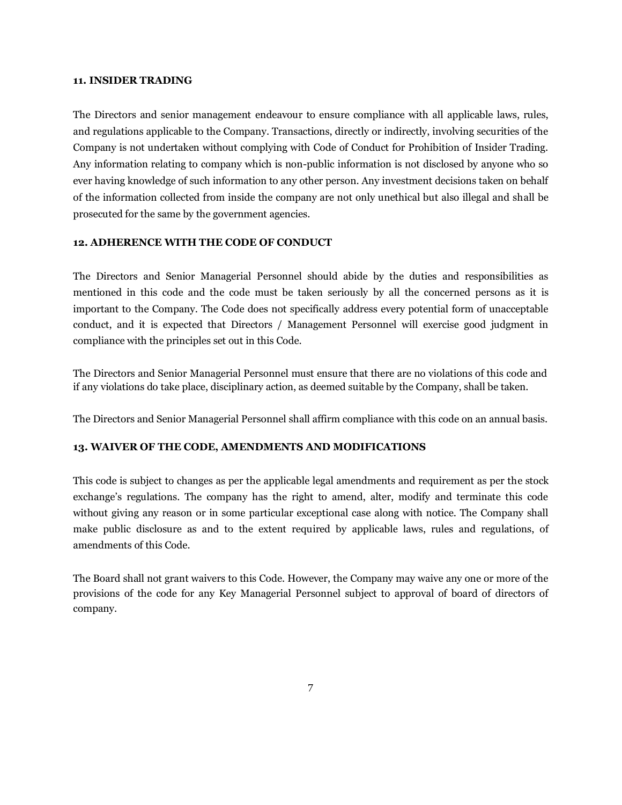#### **11. INSIDER TRADING**

The Directors and senior management endeavour to ensure compliance with all applicable laws, rules, and regulations applicable to the Company. Transactions, directly or indirectly, involving securities of the Company is not undertaken without complying with Code of Conduct for Prohibition of Insider Trading. Any information relating to company which is non-public information is not disclosed by anyone who so ever having knowledge of such information to any other person. Any investment decisions taken on behalf of the information collected from inside the company are not only unethical but also illegal and shall be prosecuted for the same by the government agencies.

## **12. ADHERENCE WITH THE CODE OF CONDUCT**

The Directors and Senior Managerial Personnel should abide by the duties and responsibilities as mentioned in this code and the code must be taken seriously by all the concerned persons as it is important to the Company. The Code does not specifically address every potential form of unacceptable conduct, and it is expected that Directors / Management Personnel will exercise good judgment in compliance with the principles set out in this Code.

The Directors and Senior Managerial Personnel must ensure that there are no violations of this code and if any violations do take place, disciplinary action, as deemed suitable by the Company, shall be taken.

The Directors and Senior Managerial Personnel shall affirm compliance with this code on an annual basis.

## **13. WAIVER OF THE CODE, AMENDMENTS AND MODIFICATIONS**

This code is subject to changes as per the applicable legal amendments and requirement as per the stock exchange's regulations. The company has the right to amend, alter, modify and terminate this code without giving any reason or in some particular exceptional case along with notice. The Company shall make public disclosure as and to the extent required by applicable laws, rules and regulations, of amendments of this Code.

The Board shall not grant waivers to this Code. However, the Company may waive any one or more of the provisions of the code for any Key Managerial Personnel subject to approval of board of directors of company.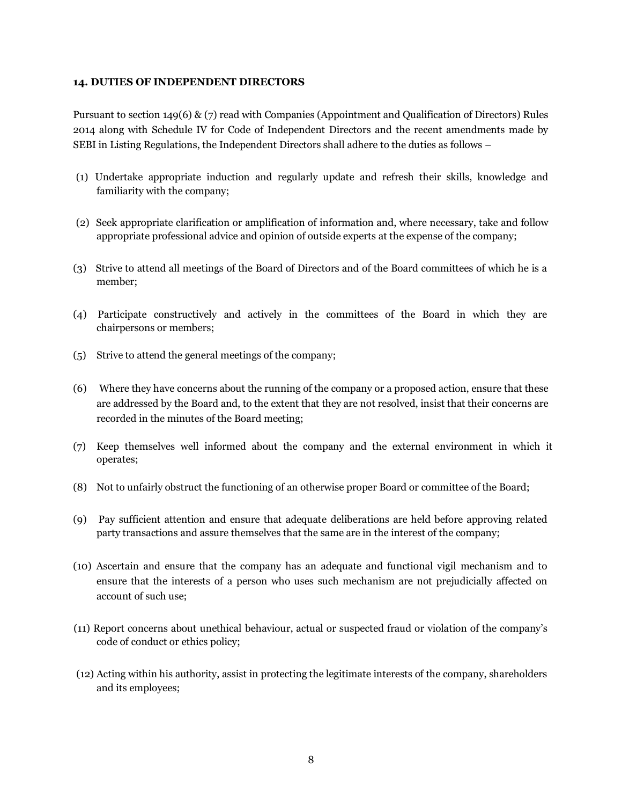## **14. DUTIES OF INDEPENDENT DIRECTORS**

Pursuant to section 149(6) & (7) read with Companies (Appointment and Qualification of Directors) Rules 2014 along with Schedule IV for Code of Independent Directors and the recent amendments made by SEBI in Listing Regulations, the Independent Directors shall adhere to the duties as follows –

- (1) Undertake appropriate induction and regularly update and refresh their skills, knowledge and familiarity with the company;
- (2) Seek appropriate clarification or amplification of information and, where necessary, take and follow appropriate professional advice and opinion of outside experts at the expense of the company;
- (3) Strive to attend all meetings of the Board of Directors and of the Board committees of which he is a member;
- (4) Participate constructively and actively in the committees of the Board in which they are chairpersons or members;
- (5) Strive to attend the general meetings of the company;
- (6) Where they have concerns about the running of the company or a proposed action, ensure that these are addressed by the Board and, to the extent that they are not resolved, insist that their concerns are recorded in the minutes of the Board meeting;
- (7) Keep themselves well informed about the company and the external environment in which it operates;
- (8) Not to unfairly obstruct the functioning of an otherwise proper Board or committee of the Board;
- (9) Pay sufficient attention and ensure that adequate deliberations are held before approving related party transactions and assure themselves that the same are in the interest of the company;
- (10) Ascertain and ensure that the company has an adequate and functional vigil mechanism and to ensure that the interests of a person who uses such mechanism are not prejudicially affected on account of such use;
- (11) Report concerns about unethical behaviour, actual or suspected fraud or violation of the company's code of conduct or ethics policy;
- (12) Acting within his authority, assist in protecting the legitimate interests of the company, shareholders and its employees;